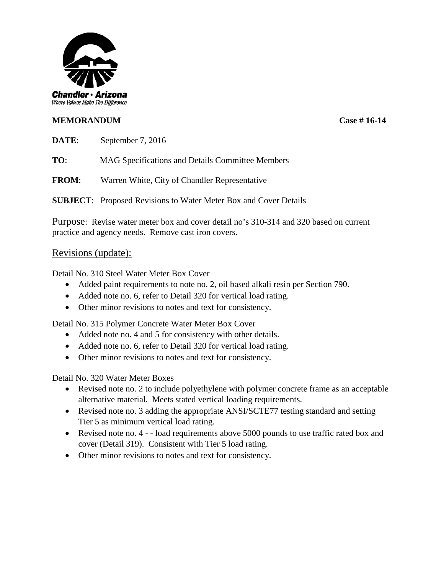

## **MEMORANDUM Case # 16-14**

**DATE**: September 7, 2016

**TO**: MAG Specifications and Details Committee Members

**FROM**: Warren White, City of Chandler Representative

**SUBJECT**: Proposed Revisions to Water Meter Box and Cover Details

Purpose: Revise water meter box and cover detail no's 310-314 and 320 based on current practice and agency needs. Remove cast iron covers.

## Revisions (update):

Detail No. 310 Steel Water Meter Box Cover

- Added paint requirements to note no. 2, oil based alkali resin per Section 790.
- Added note no. 6, refer to Detail 320 for vertical load rating.
- Other minor revisions to notes and text for consistency.

Detail No. 315 Polymer Concrete Water Meter Box Cover

- Added note no. 4 and 5 for consistency with other details.
- Added note no. 6, refer to Detail 320 for vertical load rating.
- Other minor revisions to notes and text for consistency.

Detail No. 320 Water Meter Boxes

- Revised note no. 2 to include polyethylene with polymer concrete frame as an acceptable alternative material. Meets stated vertical loading requirements.
- Revised note no. 3 adding the appropriate ANSI/SCTE77 testing standard and setting Tier 5 as minimum vertical load rating.
- Revised note no. 4 - load requirements above 5000 pounds to use traffic rated box and cover (Detail 319). Consistent with Tier 5 load rating.
- Other minor revisions to notes and text for consistency.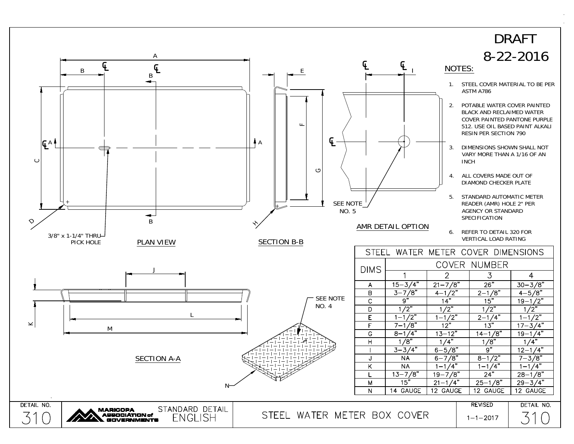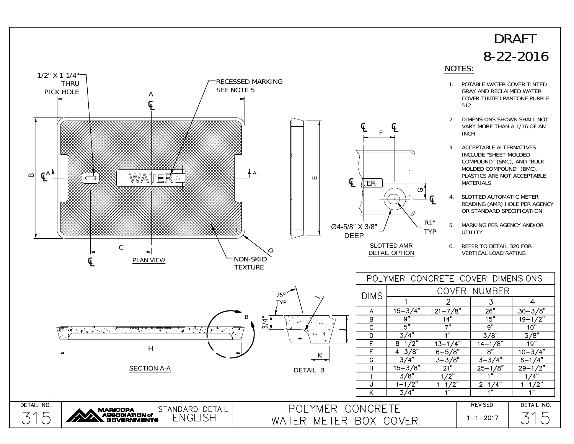